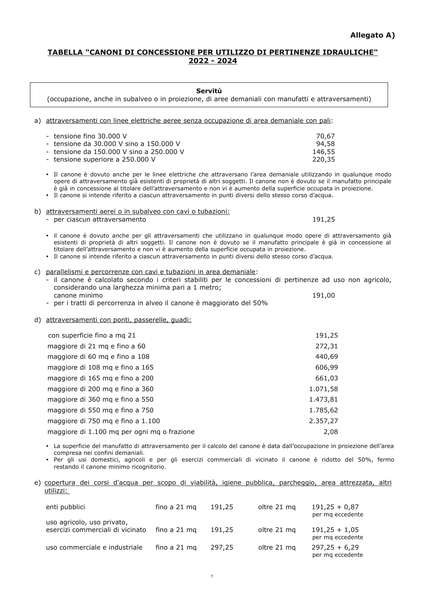## TABELLA "CANONI DI CONCESSIONE PER UTILIZZO DI PERTINENZE IDRAULICHE" 2022 - 2024

| Servitù<br>(occupazione, anche in subalveo o in proiezione, di aree demaniali con manufatti e attraversamenti)                                                                                                                                                                                                                                                                                                                                                                           |                                    |  |  |  |
|------------------------------------------------------------------------------------------------------------------------------------------------------------------------------------------------------------------------------------------------------------------------------------------------------------------------------------------------------------------------------------------------------------------------------------------------------------------------------------------|------------------------------------|--|--|--|
| a) attraversamenti con linee elettriche aeree senza occupazione di area demaniale con pali:                                                                                                                                                                                                                                                                                                                                                                                              |                                    |  |  |  |
| - tensione fino 30.000 V<br>tensione da 30.000 V sino a 150.000 V<br>tensione da 150.000 V sino a 250.000 V<br>tensione superiore a 250.000 V                                                                                                                                                                                                                                                                                                                                            | 70,67<br>94,58<br>146,55<br>220,35 |  |  |  |
| Il canone è dovuto anche per le linee elettriche che attraversano l'area demaniale utilizzando in qualunque modo<br>$\bullet$<br>opere di attraversamento già esistenti di proprietà di altri soggetti. Il canone non è dovuto se il manufatto principale<br>è già in concessione al titolare dell'attraversamento e non vi è aumento della superficie occupata in proiezione.<br>· Il canone si intende riferito a ciascun attraversamento in punti diversi dello stesso corso d'acqua. |                                    |  |  |  |
| b) attraversamenti aerei o in subalveo con cavi o tubazioni:<br>- per ciascun attraversamento                                                                                                                                                                                                                                                                                                                                                                                            | 191,25                             |  |  |  |
| il canone è dovuto anche per gli attraversamenti che utilizzano in qualunque modo opere di attraversamento già<br>$\bullet$<br>esistenti di proprietà di altri soggetti. Il canone non è dovuto se il manufatto principale è già in concessione al<br>titolare dell'attraversamento e non vi è aumento della superficie occupata in proiezione.<br>· Il canone si intende riferito a ciascun attraversamento in punti diversi dello stesso corso d'acqua.                                |                                    |  |  |  |
| c) parallelismi e percorrenze con cavi e tubazioni in area demaniale:<br>- il canone è calcolato secondo i criteri stabiliti per le concessioni di pertinenze ad uso non agricolo,<br>considerando una larghezza minima pari a 1 metro;<br>canone minimo<br>- per i tratti di percorrenza in alveo il canone è maggiorato del 50%                                                                                                                                                        | 191,00                             |  |  |  |
| d) attraversamenti con ponti, passerelle, guadi:                                                                                                                                                                                                                                                                                                                                                                                                                                         |                                    |  |  |  |
| con superficie fino a mq 21                                                                                                                                                                                                                                                                                                                                                                                                                                                              | 191,25                             |  |  |  |
| maggiore di 21 mq e fino a 60                                                                                                                                                                                                                                                                                                                                                                                                                                                            | 272,31                             |  |  |  |
| maggiore di 60 mq e fino a 108                                                                                                                                                                                                                                                                                                                                                                                                                                                           | 440,69                             |  |  |  |
| maggiore di 108 mq e fino a 165                                                                                                                                                                                                                                                                                                                                                                                                                                                          | 606,99                             |  |  |  |
| maggiore di 165 mq e fino a 200                                                                                                                                                                                                                                                                                                                                                                                                                                                          | 661,03                             |  |  |  |
| maggiore di 200 mq e fino a 360                                                                                                                                                                                                                                                                                                                                                                                                                                                          | 1.071,58                           |  |  |  |
| maggiore di 360 mg e fino a 550                                                                                                                                                                                                                                                                                                                                                                                                                                                          | 1.473,81                           |  |  |  |
| maggiore di 550 mg e fino a 750                                                                                                                                                                                                                                                                                                                                                                                                                                                          | 1.785,62                           |  |  |  |
| maggiore di 750 mq e fino a 1.100                                                                                                                                                                                                                                                                                                                                                                                                                                                        | 2.357,27                           |  |  |  |
| maggiore di 1.100 mq per ogni mq o frazione                                                                                                                                                                                                                                                                                                                                                                                                                                              | 2,08                               |  |  |  |
| · La superficie del manufatto di attraversamento per il calcolo del canone è data dall'occupazione in proiezione dell'area<br>compresa nei confini demaniali.<br>Per gli usi domestici, agricoli e per gli esercizi commerciali di vicinato il canone è ridotto del 50%, fermo<br>restando il canone minimo ricognitorio.                                                                                                                                                                |                                    |  |  |  |

## e) copertura dei corsi d'acqua per scopo di viabilità, igiene pubblica, parcheggio, area attrezzata, altri <u>utilizzi:</u>

| enti pubblici                                                  | fino a 21 mg | 191,25 | oltre 21 mg | $191,25 + 0.87$<br>per mg eccedente |
|----------------------------------------------------------------|--------------|--------|-------------|-------------------------------------|
| uso agricolo, uso privato,<br>esercizi commerciali di vicinato | fino a 21 mg | 191,25 | oltre 21 mg | $191,25 + 1,05$<br>per mg eccedente |
| uso commerciale e industriale                                  | fino a 21 mg | 297,25 | oltre 21 mg | $297,25 + 6,29$<br>per mg eccedente |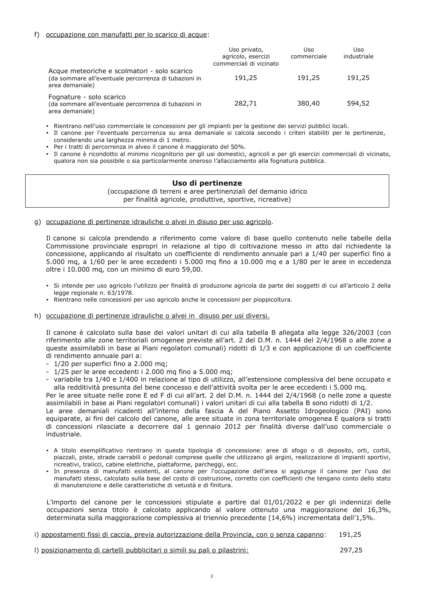#### f) occupazione con manufatti per lo scarico di acque:

|                                                                                                                          | Uso privato,<br>agricolo, esercizi<br>commerciali di vicinato | Uso<br>commerciale | Uso<br>industriale |
|--------------------------------------------------------------------------------------------------------------------------|---------------------------------------------------------------|--------------------|--------------------|
| Acque meteoriche e scolmatori - solo scarico<br>(da sommare all'eventuale percorrenza di tubazioni in<br>area demaniale) | 191,25                                                        | 191,25             | 191,25             |
| Fognature - solo scarico<br>(da sommare all'eventuale percorrenza di tubazioni in<br>area demaniale)                     | 282,71                                                        | 380,40             | 594,52             |

· Rientrano nell'uso commerciale le concessioni per gli impianti per la gestione dei servizi pubblici locali.

- · Il canone per l'eventuale percorrenza su area demaniale si calcola secondo i criteri stabiliti per le pertinenze, considerando una larghezza minima di 1 metro.
- · Per i tratti di percorrenza in alveo il canone è maggiorato del 50%.
- · Il canone è ricondotto al minimo ricognitorio per gli usi domestici, agricoli e per gli esercizi commerciali di vicinato, qualora non sia possibile o sia particolarmente oneroso l'allacciamento alla fognatura pubblica.

## Uso di pertinenze

(occupazione di terreni e aree pertinenziali del demanio idrico per finalità agricole, produttive, sportive, ricreative)

q) occupazione di pertinenze idrauliche o alvei in disuso per uso agricolo.

Il canone si calcola prendendo a riferimento come valore di base quello contenuto nelle tabelle della Commissione provinciale espropri in relazione al tipo di coltivazione messo in atto dal richiedente la concessione. applicando al risultato un coefficiente di rendimento annuale pari a 1/40 per superfici fino a 5.000 mg, a 1/60 per le aree eccedenti i 5.000 mg fino a 10.000 mg e a 1/80 per le aree in eccedenza oltre i 10.000 mg, con un minimo di euro 59,00.

- · Si intende per uso agricolo l'utilizzo per finalità di produzione agricola da parte dei soggetti di cui all'articolo 2 della legge regionale n. 63/1978.
- · Rientrano nelle concessioni per uso agricolo anche le concessioni per pioppicoltura.
- h) occupazione di pertinenze idrauliche o alvei in disuso per usi diversi.

Il canone è calcolato sulla base dei valori unitari di cui alla tabella B allegata alla legge 326/2003 (con riferimento alle zone territoriali omogenee previste all'art. 2 del D.M. n. 1444 del 2/4/1968 o alle zone a queste assimilabili in base ai Piani regolatori comunali) ridotti di 1/3 e con applicazione di un coefficiente di rendimento annuale pari a:

- 1/20 per superfici fino a 2.000 mg;
- $-1/25$  per le aree eccedenti i 2.000 mg fino a 5.000 mg;
- variabile tra 1/40 e 1/400 in relazione al tipo di utilizzo, all'estensione complessiva del bene occupato e alla redditività presunta del bene concesso e dell'attività svolta per le aree eccedenti i 5.000 mg.

Per le aree situate nelle zone E ed F di cui all'art. 2 del D.M. n. 1444 del 2/4/1968 (o nelle zone a queste assimilabili in base ai Piani regolatori comunali) i valori unitari di cui alla tabella B sono ridotti di 1/2.

Le aree demaniali ricadenti all'interno della fascia A del Piano Assetto Idrogeologico (PAI) sono equiparate, ai fini del calcolo del canone, alle aree situate in zona territoriale omogenea E qualora si tratti di concessioni rilasciate a decorrere dal 1 gennaio 2012 per finalità diverse dall'uso commerciale o industriale.

- A titolo esemplificativo rientrano in questa tipologia di concessione: aree di sfogo o di deposito, orti, cortili, piazzali, piste, strade carrabili o pedonali comprese quelle che utilizzano gli argini, realizzazione di impianti sportivi, ricreativi, tralicci, cabine elettriche, piattaforme, parcheggi, ecc.
- · In presenza di manufatti esistenti, al canone per l'occupazione dell'area si aggiunge il canone per l'uso dei manufatti stessi, calcolato sulla base del costo di costruzione, corretto con coefficienti che tengano conto dello stato di manutenzione e delle caratteristiche di vetustà e di finitura.

L'importo del canone per le concessioni stipulate a partire dal 01/01/2022 e per gli indennizzi delle occupazioni senza titolo è calcolato applicando al valore ottenuto una maggiorazione del 16,3%, determinata sulla maggiorazione complessiva al triennio precedente (14,6%) incrementata dell'1,5%.

- i) appostamenti fissi di caccia, previa autorizzazione della Provincia, con o senza capanno: 191,25
- I) posizionamento di cartelli pubblicitari o simili su pali o pilastrini:

297,25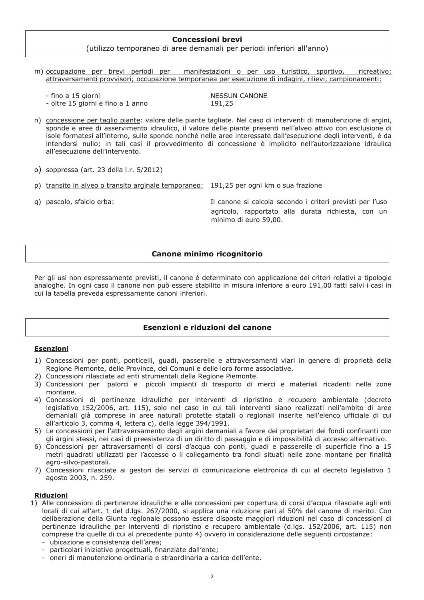## **Concessioni brevi**

## (utilizzo temporaneo di aree demaniali per periodi inferiori all'anno)

- m) occupazione per brevi periodi per manifestazioni o per uso turistico, sportivo, ricreativo; attraversamenti provvisori; occupazione temporanea per esecuzione di indagini, rilievi, campionamenti:
	- fino a 15 giorni - oltre 15 giorni e fino a 1 anno

**NESSUN CANONE** 191,25

- n) concessione per taglio piante: valore delle piante tagliate. Nel caso di interventi di manutenzione di argini, sponde e aree di asservimento idraulico, il valore delle piante presenti nell'alveo attivo con esclusione di isole formatesi all'interno, sulle sponde nonché nelle aree interessate dall'esecuzione degli interventi, è da intendersi nullo; in tali casi il provvedimento di concessione è implicito nell'autorizzazione idraulica all'esecuzione dell'intervento.
- o) soppressa (art. 23 della I.r. 5/2012)
- p) transito in alveo o transito arginale temporaneo: 191,25 per ogni km o sua frazione
- q) pascolo, sfalcio erba:

Il canone si calcola secondo i criteri previsti per l'uso agricolo, rapportato alla durata richiesta, con un minimo di euro 59,00.

## Canone minimo ricognitorio

Per gli usi non espressamente previsti, il canone è determinato con applicazione dei criteri relativi a tipologie analoghe. In ogni caso il canone non può essere stabilito in misura inferiore a euro 191,00 fatti salvi i casi in cui la tabella preveda espressamente canoni inferiori.

## Esenzioni e riduzioni del canone

## **Esenzioni**

- 1) Concessioni per ponti, ponticelli, guadi, passerelle e attraversamenti viari in genere di proprietà della Regione Piemonte, delle Province, dei Comuni e delle loro forme associative.
- 2) Concessioni rilasciate ad enti strumentali della Regione Piemonte.
- 3) Concessioni per palorci e piccoli impianti di trasporto di merci e materiali ricadenti nelle zone montane.
- 4) Concessioni di pertinenze idrauliche per interventi di ripristino e recupero ambientale (decreto legislativo 152/2006, art. 115), solo nel caso in cui tali interventi siano realizzati nell'ambito di aree demaniali già comprese in aree naturali protette statali o regionali inserite nell'elenco ufficiale di cui all'articolo 3, comma 4, lettera c), della legge 394/1991.
- 5) Le concessioni per l'attraversamento degli argini demaniali a favore dei proprietari dei fondi confinanti con gli argini stessi, nei casi di preesistenza di un diritto di passaggio e di impossibilità di accesso alternativo.
- 6) Concessioni per attraversamenti di corsi d'acqua con ponti, guadi e passerelle di superficie fino a 15 metri quadrati utilizzati per l'accesso o il collegamento tra fondi situati nelle zone montane per finalità agro-silvo-pastorali.
- 7) Concessioni rilasciate ai gestori dei servizi di comunicazione elettronica di cui al decreto legislativo 1 agosto 2003, n. 259.

#### **Riduzioni**

- 1) Alle concessioni di pertinenze idrauliche e alle concessioni per copertura di corsi d'acqua rilasciate agli enti locali di cui all'art. 1 del d.lgs. 267/2000, si applica una riduzione pari al 50% del canone di merito. Con deliberazione della Giunta regionale possono essere disposte maggiori riduzioni nel caso di concessioni di pertinenze idrauliche per interventi di ripristino e recupero ambientale (d.lgs. 152/2006, art. 115) non comprese tra quelle di cui al precedente punto 4) ovvero in considerazione delle sequenti circostanze:
	- ubicazione e consistenza dell'area;
	- particolari iniziative progettuali, finanziate dall'ente;
	- oneri di manutenzione ordinaria e straordinaria a carico dell'ente.